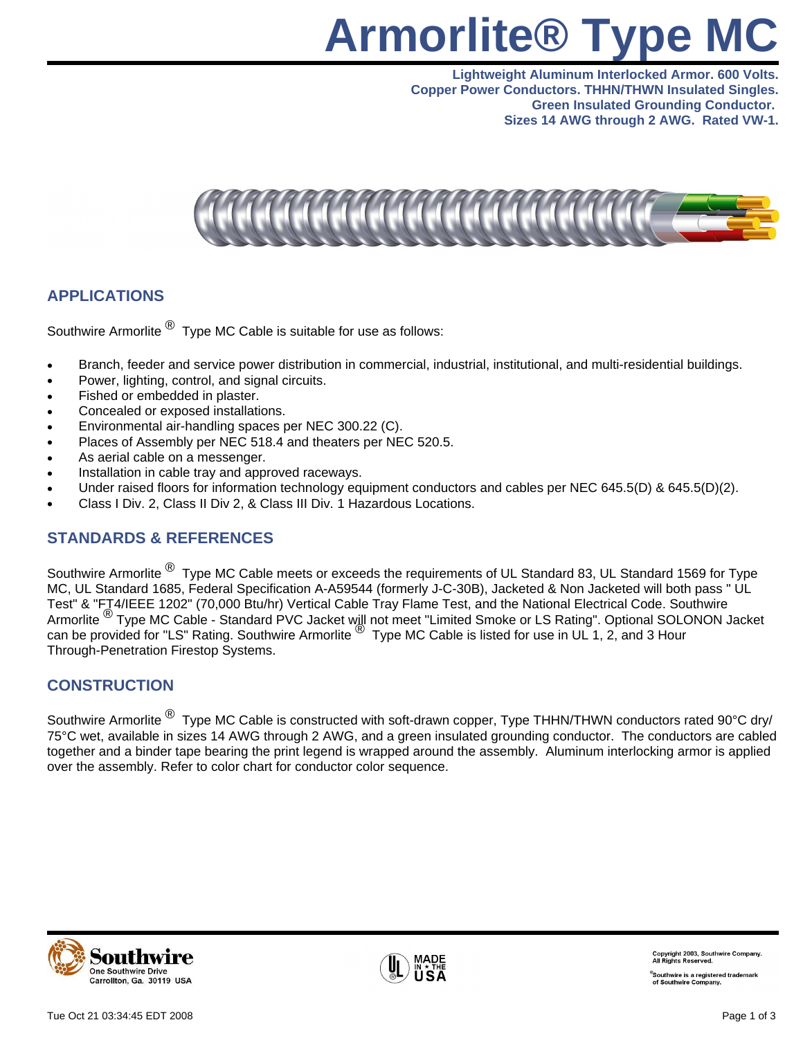# **Armorlite® Type MC**

**Lightweight Aluminum Interlocked Armor. 600 Volts. Copper Power Conductors. THHN/THWN Insulated Singles. Green Insulated Grounding Conductor. Sizes 14 AWG through 2 AWG. Rated VW-1.**



### **APPLICATIONS**

Southwire Armorlite  $^{\circledR}$  Type MC Cable is suitable for use as follows:

- Branch, feeder and service power distribution in commercial, industrial, institutional, and multi-residential buildings.
- Power, lighting, control, and signal circuits.
- Fished or embedded in plaster.
- Concealed or exposed installations.
- Environmental air-handling spaces per NEC 300.22 (C).
- Places of Assembly per NEC 518.4 and theaters per NEC 520.5.
- As aerial cable on a messenger.
- Installation in cable tray and approved raceways.
- Under raised floors for information technology equipment conductors and cables per NEC 645.5(D) & 645.5(D)(2).
- Class I Div. 2, Class II Div 2, & Class III Div. 1 Hazardous Locations.

### **STANDARDS & REFERENCES**

Southwire Armorlite <sup>®</sup> Type MC Cable meets or exceeds the requirements of UL Standard 83, UL Standard 1569 for Type MC, UL Standard 1685, Federal Specification A-A59544 (formerly J-C-30B), Jacketed & Non Jacketed will both pass " UL Test" & "FT4/IEEE 1202" (70,000 Btu/hr) Vertical Cable Tray Flame Test, and the National Electrical Code. Southwire Armorlite ® Type MC Cable - Standard PVC Jacket will not meet "Limited Smoke or LS Rating". Optional SOLONON Jacket can be provided for "LS" Rating. Southwire Armorlite  $^{\circledR}$  Type MC Cable is listed for use in UL 1, 2, and 3 Hour Through-Penetration Firestop Systems.

### **CONSTRUCTION**

Southwire Armorlite <sup>®</sup> Type MC Cable is constructed with soft-drawn copper, Type THHN/THWN conductors rated 90°C dry/ 75°C wet, available in sizes 14 AWG through 2 AWG, and a green insulated grounding conductor. The conductors are cabled together and a binder tape bearing the print legend is wrapped around the assembly. Aluminum interlocking armor is applied over the assembly. Refer to color chart for conductor color sequence.





Copyright 2003, Southwire Comp<br>All Rights Reserved.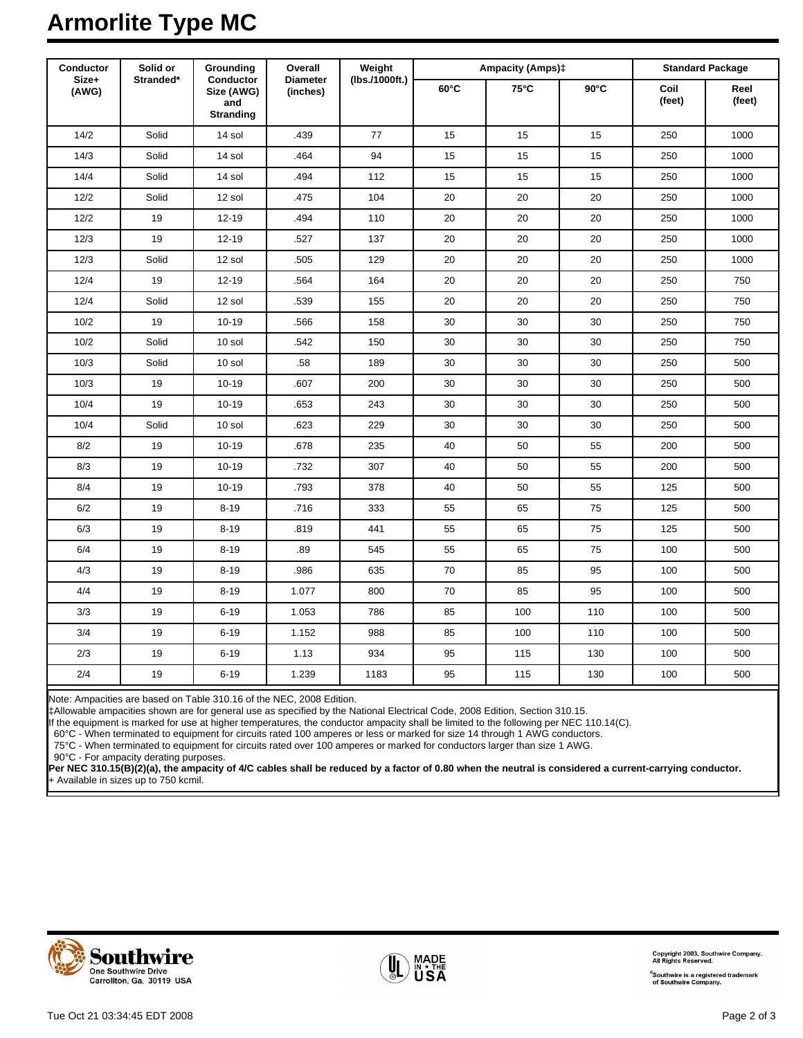# **Armorlite Type MC**

| Conductor<br>Size+<br>(AWG) | Solid or<br>Stranded* | Grounding<br>Conductor<br>Size (AWG)<br>and<br><b>Stranding</b> | Overall<br><b>Diameter</b><br>(inches) | Weight<br>(lbs./1000ft.) | <b>Ampacity (Amps)‡</b> |      |                | <b>Standard Package</b> |                |
|-----------------------------|-----------------------|-----------------------------------------------------------------|----------------------------------------|--------------------------|-------------------------|------|----------------|-------------------------|----------------|
|                             |                       |                                                                 |                                        |                          | $60^{\circ}$ C          | 75°C | $90^{\circ}$ C | Coil<br>(feet)          | Reel<br>(feet) |
| 14/2                        | Solid                 | 14 sol                                                          | .439                                   | $77\,$                   | 15                      | 15   | 15             | 250                     | 1000           |
| 14/3                        | Solid                 | 14 sol                                                          | .464                                   | 94                       | 15                      | 15   | 15             | 250                     | 1000           |
| 14/4                        | Solid                 | 14 sol                                                          | .494                                   | 112                      | 15                      | 15   | 15             | 250                     | 1000           |
| 12/2                        | Solid                 | 12 sol                                                          | .475                                   | 104                      | 20                      | 20   | 20             | 250                     | 1000           |
| 12/2                        | 19                    | $12 - 19$                                                       | .494                                   | 110                      | 20                      | 20   | 20             | 250                     | 1000           |
| 12/3                        | 19                    | $12 - 19$                                                       | .527                                   | 137                      | 20                      | 20   | 20             | 250                     | 1000           |
| 12/3                        | Solid                 | 12 sol                                                          | .505                                   | 129                      | 20                      | 20   | 20             | 250                     | 1000           |
| 12/4                        | 19                    | $12 - 19$                                                       | .564                                   | 164                      | 20                      | 20   | 20             | 250                     | 750            |
| 12/4                        | Solid                 | 12 sol                                                          | .539                                   | 155                      | 20                      | 20   | 20             | 250                     | 750            |
| 10/2                        | 19                    | $10 - 19$                                                       | .566                                   | 158                      | 30                      | 30   | 30             | 250                     | 750            |
| 10/2                        | Solid                 | 10 sol                                                          | .542                                   | 150                      | 30                      | 30   | $30\,$         | 250                     | 750            |
| 10/3                        | Solid                 | 10 sol                                                          | .58                                    | 189                      | 30                      | 30   | 30             | 250                     | 500            |
| 10/3                        | 19                    | $10 - 19$                                                       | .607                                   | 200                      | 30                      | 30   | 30             | 250                     | 500            |
| 10/4                        | 19                    | $10 - 19$                                                       | .653                                   | 243                      | 30                      | 30   | 30             | 250                     | 500            |
| 10/4                        | Solid                 | 10 sol                                                          | .623                                   | 229                      | 30                      | 30   | 30             | 250                     | 500            |
| 8/2                         | 19                    | $10 - 19$                                                       | .678                                   | 235                      | 40                      | 50   | 55             | 200                     | 500            |
| 8/3                         | 19                    | $10 - 19$                                                       | .732                                   | 307                      | 40                      | 50   | 55             | 200                     | 500            |
| 8/4                         | 19                    | $10 - 19$                                                       | .793                                   | 378                      | 40                      | 50   | 55             | 125                     | 500            |
| 6/2                         | 19                    | $8 - 19$                                                        | .716                                   | 333                      | 55                      | 65   | 75             | 125                     | 500            |
| 6/3                         | 19                    | $8 - 19$                                                        | .819                                   | 441                      | 55                      | 65   | 75             | 125                     | 500            |
| 6/4                         | 19                    | $8 - 19$                                                        | .89                                    | 545                      | 55                      | 65   | 75             | 100                     | 500            |
| 4/3                         | 19                    | $8 - 19$                                                        | .986                                   | 635                      | 70                      | 85   | 95             | 100                     | 500            |
| 4/4                         | 19                    | $8 - 19$                                                        | 1.077                                  | 800                      | 70                      | 85   | 95             | 100                     | 500            |
| 3/3                         | 19                    | $6 - 19$                                                        | 1.053                                  | 786                      | 85                      | 100  | 110            | 100                     | 500            |
| 3/4                         | 19                    | $6 - 19$                                                        | 1.152                                  | 988                      | 85                      | 100  | 110            | 100                     | 500            |
| 2/3                         | 19                    | $6 - 19$                                                        | 1.13                                   | 934                      | 95                      | 115  | 130            | 100                     | 500            |
| 2/4                         | 19                    | $6 - 19$                                                        | 1.239                                  | 1183                     | 95                      | 115  | 130            | 100                     | 500            |

Note: Ampacities are based on Table 310.16 of the NEC, 2008 Edition.

‡Allowable ampacities shown are for general use as specified by the National Electrical Code, 2008 Edition, Section 310.15.

If the equipment is marked for use at higher temperatures, the conductor ampacity shall be limited to the following per NEC 110.14(C).

60°C - When terminated to equipment for circuits rated 100 amperes or less or marked for size 14 through 1 AWG conductors.

75°C - When terminated to equipment for circuits rated over 100 amperes or marked for conductors larger than size 1 AWG.

90°C - For ampacity derating purposes.

**Per NEC 310.15(B)(2)(a), the ampacity of 4/C cables shall be reduced by a factor of 0.80 when the neutral is considered a current-carrying conductor.** + Available in sizes up to 750 kcmil.